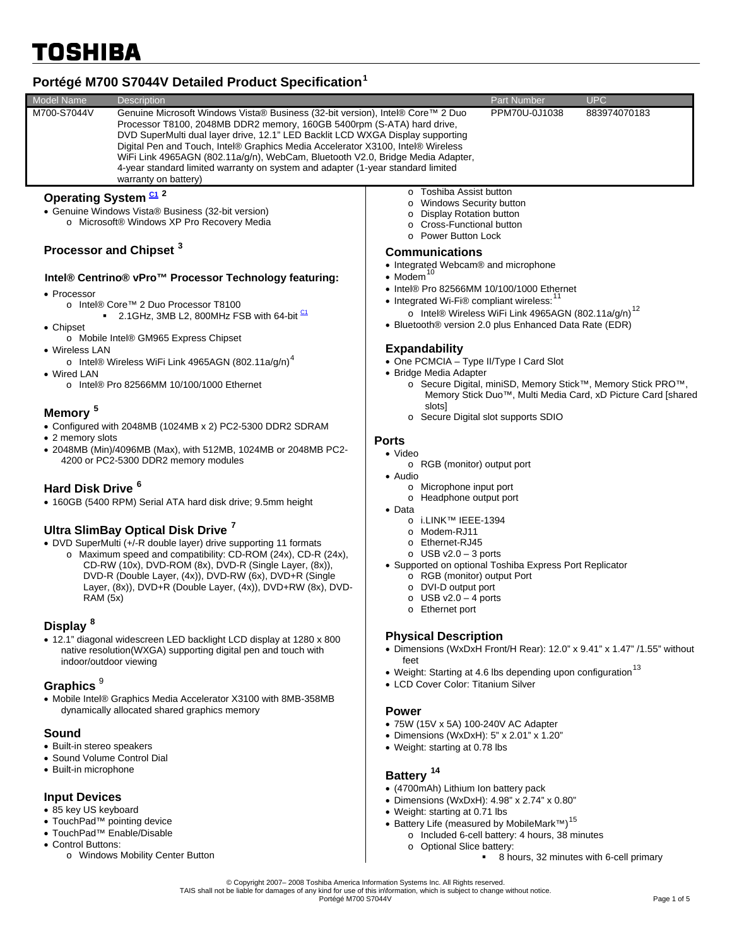# **Portégé M700 S7044V Detailed Product Specification[1](#page-3-0)**

| <b>Model Name</b>                                                                                                                                                                                                                                                                                                                                                                | <b>Description</b>                                                                                                                                                                                                                                                                                                                                                                                                                                                                                                                                          |                                                                                                                                                                                                                                                                                                                                  | <b>Part Number</b>                                                               | <b>UPC</b> |  |
|----------------------------------------------------------------------------------------------------------------------------------------------------------------------------------------------------------------------------------------------------------------------------------------------------------------------------------------------------------------------------------|-------------------------------------------------------------------------------------------------------------------------------------------------------------------------------------------------------------------------------------------------------------------------------------------------------------------------------------------------------------------------------------------------------------------------------------------------------------------------------------------------------------------------------------------------------------|----------------------------------------------------------------------------------------------------------------------------------------------------------------------------------------------------------------------------------------------------------------------------------------------------------------------------------|----------------------------------------------------------------------------------|------------|--|
| M700-S7044V                                                                                                                                                                                                                                                                                                                                                                      | Genuine Microsoft Windows Vista® Business (32-bit version), Intel® Core™ 2 Duo<br>PPM70U-0J1038<br>883974070183<br>Processor T8100, 2048MB DDR2 memory, 160GB 5400rpm (S-ATA) hard drive,<br>DVD SuperMulti dual layer drive, 12.1" LED Backlit LCD WXGA Display supporting<br>Digital Pen and Touch, Intel® Graphics Media Accelerator X3100, Intel® Wireless<br>WiFi Link 4965AGN (802.11a/g/n), WebCam, Bluetooth V2.0, Bridge Media Adapter,<br>4-year standard limited warranty on system and adapter (1-year standard limited<br>warranty on battery) |                                                                                                                                                                                                                                                                                                                                  |                                                                                  |            |  |
| Operating System <sup>C1</sup> <sup>2</sup><br>• Genuine Windows Vista® Business (32-bit version)<br>o Microsoft® Windows XP Pro Recovery Media                                                                                                                                                                                                                                  |                                                                                                                                                                                                                                                                                                                                                                                                                                                                                                                                                             | o Toshiba Assist button<br>o Windows Security button<br><b>Display Rotation button</b><br>○ Cross-Functional button<br>o Power Button Lock                                                                                                                                                                                       |                                                                                  |            |  |
| Processor and Chipset <sup>3</sup>                                                                                                                                                                                                                                                                                                                                               |                                                                                                                                                                                                                                                                                                                                                                                                                                                                                                                                                             | <b>Communications</b><br>• Integrated Webcam® and microphone<br>$\bullet$ Modem <sup>10</sup><br>• Intel® Pro 82566MM 10/100/1000 Ethernet<br>• Integrated Wi-Fi® compliant wireless: <sup>11</sup><br>o Intel® Wireless WiFi Link 4965AGN (802.11a/g/n) <sup>12</sup><br>• Bluetooth® version 2.0 plus Enhanced Data Rate (EDR) |                                                                                  |            |  |
| Intel® Centrino® vPro™ Processor Technology featuring:<br>• Processor<br>o Intel® Core™ 2 Duo Processor T8100<br>2.1 GHz, 3MB L2, 800 MHz FSB with 64-bit $\frac{C1}{2}$<br>• Chipset                                                                                                                                                                                            |                                                                                                                                                                                                                                                                                                                                                                                                                                                                                                                                                             |                                                                                                                                                                                                                                                                                                                                  |                                                                                  |            |  |
| o Mobile Intel® GM965 Express Chipset<br>• Wireless LAN<br>o Intel® Wireless WiFi Link 4965AGN (802.11a/g/n) <sup>4</sup><br>• Wired LAN<br>$\circ$ Intel® Pro 82566MM 10/100/1000 Ethernet                                                                                                                                                                                      |                                                                                                                                                                                                                                                                                                                                                                                                                                                                                                                                                             | <b>Expandability</b><br>• One PCMCIA - Type II/Type I Card Slot<br>• Bridge Media Adapter<br>o Secure Digital, miniSD, Memory Stick™, Memory Stick PRO™,<br>Memory Stick Duo <sup>™</sup> , Multi Media Card, xD Picture Card [shared<br>slots]<br>o Secure Digital slot supports SDIO<br><b>Ports</b><br>$\bullet$ Video        |                                                                                  |            |  |
| Memory <sup>5</sup><br>• Configured with 2048MB (1024MB x 2) PC2-5300 DDR2 SDRAM<br>• 2 memory slots<br>• 2048MB (Min)/4096MB (Max), with 512MB, 1024MB or 2048MB PC2-                                                                                                                                                                                                           |                                                                                                                                                                                                                                                                                                                                                                                                                                                                                                                                                             |                                                                                                                                                                                                                                                                                                                                  |                                                                                  |            |  |
| 4200 or PC2-5300 DDR2 memory modules<br>Hard Disk Drive <sup>6</sup><br>• 160GB (5400 RPM) Serial ATA hard disk drive; 9.5mm height                                                                                                                                                                                                                                              |                                                                                                                                                                                                                                                                                                                                                                                                                                                                                                                                                             | o RGB (monitor) output port<br>• Audio<br>o Microphone input port<br>o Headphone output port<br>$\bullet$ Data                                                                                                                                                                                                                   |                                                                                  |            |  |
| Ultra SlimBay Optical Disk Drive <sup>7</sup><br>• DVD SuperMulti (+/-R double layer) drive supporting 11 formats<br>o Maximum speed and compatibility: CD-ROM (24x), CD-R (24x),<br>CD-RW (10x), DVD-ROM (8x), DVD-R (Single Layer, (8x)),<br>DVD-R (Double Layer, (4x)), DVD-RW (6x), DVD+R (Single<br>Layer, (8x)), DVD+R (Double Layer, (4x)), DVD+RW (8x), DVD-<br>RAM (5x) |                                                                                                                                                                                                                                                                                                                                                                                                                                                                                                                                                             | i.LINK™ IEEE-1394<br>Modem-RJ11<br>o Ethernet-RJ45<br>$\circ$ USB v2.0 - 3 ports<br>• Supported on optional Toshiba Express Port Replicator<br>o RGB (monitor) output Port<br>o DVI-D output port<br>USB $v2.0 - 4$ ports<br>$\circ$<br>o Ethernet port                                                                          |                                                                                  |            |  |
| Display <sup>8</sup>                                                                                                                                                                                                                                                                                                                                                             |                                                                                                                                                                                                                                                                                                                                                                                                                                                                                                                                                             |                                                                                                                                                                                                                                                                                                                                  |                                                                                  |            |  |
| • 12.1" diagonal widescreen LED backlight LCD display at 1280 x 800<br>native resolution(WXGA) supporting digital pen and touch with<br>indoor/outdoor viewing                                                                                                                                                                                                                   |                                                                                                                                                                                                                                                                                                                                                                                                                                                                                                                                                             | <b>Physical Description</b><br>• Dimensions (WxDxH Front/H Rear): 12.0" x 9.41" x 1.47" /1.55" without<br>feet<br>• Weight: Starting at 4.6 lbs depending upon configuration <sup>13</sup>                                                                                                                                       |                                                                                  |            |  |
| Graphics <sup>9</sup>                                                                                                                                                                                                                                                                                                                                                            |                                                                                                                                                                                                                                                                                                                                                                                                                                                                                                                                                             | • LCD Cover Color: Titanium Silver                                                                                                                                                                                                                                                                                               |                                                                                  |            |  |
| • Mobile Intel® Graphics Media Accelerator X3100 with 8MB-358MB<br>dynamically allocated shared graphics memory                                                                                                                                                                                                                                                                  |                                                                                                                                                                                                                                                                                                                                                                                                                                                                                                                                                             | <b>Power</b>                                                                                                                                                                                                                                                                                                                     |                                                                                  |            |  |
| Sound                                                                                                                                                                                                                                                                                                                                                                            |                                                                                                                                                                                                                                                                                                                                                                                                                                                                                                                                                             |                                                                                                                                                                                                                                                                                                                                  | • 75W (15V x 5A) 100-240V AC Adapter<br>• Dimensions (WxDxH): 5" x 2.01" x 1.20" |            |  |
| • Built-in stereo speakers<br>• Sound Volume Control Dial                                                                                                                                                                                                                                                                                                                        |                                                                                                                                                                                                                                                                                                                                                                                                                                                                                                                                                             | • Weight: starting at 0.78 lbs                                                                                                                                                                                                                                                                                                   |                                                                                  |            |  |
| • Built-in microphone                                                                                                                                                                                                                                                                                                                                                            |                                                                                                                                                                                                                                                                                                                                                                                                                                                                                                                                                             | $Pothery$ <sup>14</sup>                                                                                                                                                                                                                                                                                                          |                                                                                  |            |  |

### **Input Devices**

- 85 key US keyboard
- TouchPad™ pointing device
- TouchPad™ Enable/Disable
- Control Buttons:
	- o Windows Mobility Center Button

# **Battery**

- (4700mAh) Lithium Ion battery pack
- Dimensions (WxDxH): 4.98" x 2.74" x 0.80"
- Weight: starting at 0.71 lbs
- Battery Life (measured by MobileMark™)[15](#page-4-0)
	- o Included 6-cell battery: 4 hours, 38 minutes o Optional Slice battery:<br>8 ho
		- 8 hours, 32 minutes with 6-cell primary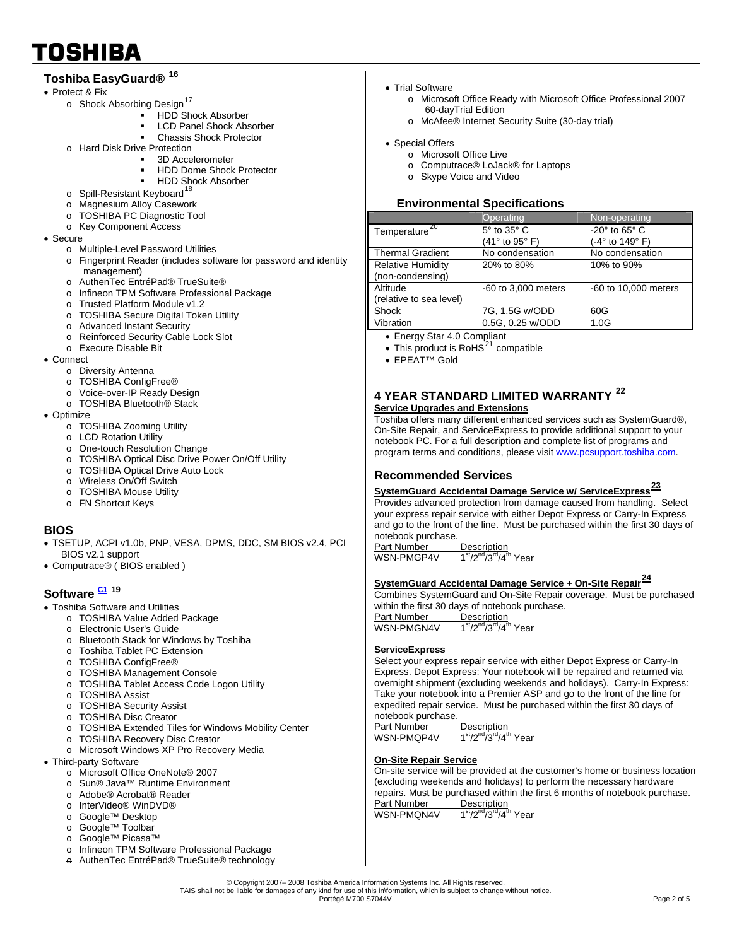# **Toshiba EasyGuard® [16](#page-4-0)**

- Protect & Fix
	- o Shock Absorbing Design<sup>[17](#page-4-0)</sup>
		- HDD Shock Absorber
			- **LCD Panel Shock Absorber**
			- Chassis Shock Protector
	- o Hard Disk Drive Protection
		- 3D Accelerometer
		- HDD Dome Shock Protector
		- HDD Shock Absorber
	- $\circ$  Spill-Resistant Keyboard<sup>[18](#page-4-0)</sup>
	- o Magnesium Alloy Casework
	- o TOSHIBA PC Diagnostic Tool
	- o Key Component Access
- Secure
	- o Multiple-Level Password Utilities
	- o Fingerprint Reader (includes software for password and identity management)
	- o AuthenTec EntréPad® TrueSuite®
	- o Infineon TPM Software Professional Package
	- o Trusted Platform Module v1.2
	- o TOSHIBA Secure Digital Token Utility
	- o Advanced Instant Security
	- o Reinforced Security Cable Lock Slot
	- o Execute Disable Bit
- Connect
	- o Diversity Antenna
	- o TOSHIBA ConfigFree®
	- o Voice-over-IP Ready Design
	- o TOSHIBA Bluetooth® Stack
- Optimize
	- o TOSHIBA Zooming Utility
	- o LCD Rotation Utility
	- o One-touch Resolution Change
	- o TOSHIBA Optical Disc Drive Power On/Off Utility
	- o TOSHIBA Optical Drive Auto Lock
	- o Wireless On/Off Switch
	- o TOSHIBA Mouse Utility
	- o FN Shortcut Keys

### **BIOS**

- TSETUP, ACPI v1.0b, PNP, VESA, DPMS, DDC, SM BIOS v2.4, PCI BIOS v2.1 support
- Computrace® ( BIOS enabled )

# **Software**<sup>[C1](#page-3-1)</sup><sup>[19](#page-4-0)</sup>

- Toshiba Software and Utilities
	- o TOSHIBA Value Added Package
	- o Electronic User's Guide
	- o Bluetooth Stack for Windows by Toshiba
	- o Toshiba Tablet PC Extension
	- o TOSHIBA ConfigFree®
	- o TOSHIBA Management Console
	- o TOSHIBA Tablet Access Code Logon Utility
	- o TOSHIBA Assist
	- o TOSHIBA Security Assist
	- o TOSHIBA Disc Creator
	- o TOSHIBA Extended Tiles for Windows Mobility Center
	- o TOSHIBA Recovery Disc Creator
	- o Microsoft Windows XP Pro Recovery Media
- Third-party Software
	- o Microsoft Office OneNote® 2007
	- o Sun® Java™ Runtime Environment
	- o Adobe® Acrobat® Reader
	- o InterVideo® WinDVD®
	- o Google™ Desktop
	- o Google™ Toolbar
	- o Google™ Picasa™
	- o Infineon TPM Software Professional Package AuthenTec EntréPad® TrueSuite® technology
- Trial Software
	- o Microsoft Office Ready with Microsoft Office Professional 2007 60-dayTrial Edition
		- o McAfee® Internet Security Suite (30-day trial)
- Special Offers
	- o Microsoft Office Live
	- o Computrace® LoJack® for Laptops
	- o Skype Voice and Video

### **Environmental Specifications**

|                           | Operating           | Non-operating                   |
|---------------------------|---------------------|---------------------------------|
| Temperature <sup>20</sup> | 5° to 35° C         | -20 $\degree$ to 65 $\degree$ C |
|                           | (41° to 95° F)      | (-4° to 149° F)                 |
| <b>Thermal Gradient</b>   | No condensation     | No condensation                 |
| <b>Relative Humidity</b>  | 20% to 80%          | 10% to 90%                      |
| (non-condensing)          |                     |                                 |
| Altitude                  | -60 to 3,000 meters | -60 to 10,000 meters            |
| (relative to sea level)   |                     |                                 |
| Shock                     | 7G, 1.5G w/ODD      | 60G                             |
| Vibration                 | 0.5G, 0.25 w/ODD    | 1.0G                            |

- Energy Star 4.0 Compliant
- This product is RoHS $^{21}$  $^{21}$  $^{21}$  compatible
- EPEAT™ Gold

#### **4 YEAR STANDARD LIMITED WARRANTY [22](#page-4-0) Service Upgrades and Extensions**

Toshiba offers many different enhanced services such as SystemGuard®, On-Site Repair, and ServiceExpress to provide additional support to your notebook PC. For a full description and complete list of programs and program terms and conditions, please visit [www.pcsupport.toshiba.com](http://www.pcsupport.toshiba.com/).

#### **Recommended Services**

#### **SystemGuard Accidental Damage Service w/ ServiceExpress[23](#page-4-0)**

Provides advanced protection from damage caused from handling. Select your express repair service with either Depot Express or Carry-In Express and go to the front of the line. Must be purchased within the first 30 days of notebook purchase.<br>Part Number Description

Part Number<br>WSN-PMGP4V  $1<sup>st</sup>/2<sup>nd</sup>/3<sup>rd</sup>/4<sup>th</sup>$  Year

# **SystemGuard Accidental Damage Service + On-Site Repair[24](#page-4-0)**

Combines SystemGuard and On-Site Repair coverage. Must be purchased within the first 30 days of notebook purchase.

Part Number<br>WSN-PMGN4V Description<br>1<sup>st</sup>/2<sup>nd</sup>/3<sup>rd</sup>/4<sup>th</sup> Year

#### **ServiceExpress**

Select your express repair service with either Depot Express or Carry-In Express. Depot Express: Your notebook will be repaired and returned via overnight shipment (excluding weekends and holidays). Carry-In Express: Take your notebook into a Premier ASP and go to the front of the line for expedited repair service. Must be purchased within the first 30 days of notebook purchase.

<u>Part Number Description</u><br>WSN-PMQP4V 1<sup>st</sup>/2<sup>nd</sup>/3<sup>rd</sup>/4<sup>th</sup> Year

#### **On-Site Repair Service**

On-site service will be provided at the customer's home or business location (excluding weekends and holidays) to perform the necessary hardware repairs. Must be purchased within the first 6 months of notebook purchase. Part Number Description<br>WSN-PMON4V  $1^{st}/2^{nd}/3^{rd}/4^{t}$  $1<sup>st</sup>/2<sup>nd</sup>/3<sup>rd</sup>/4<sup>th</sup>$  Year

© Copyright 2007– 2008 Toshiba America Information Systems Inc. All Rights reserved. TAIS shall not be liable for damages of any kind for use of this in\formation, which is subject to change without notice. nor de la marina de la marina de la marina de la marina de la marina de la marina de la marina de la marina de<br>Portégé M700 S7044V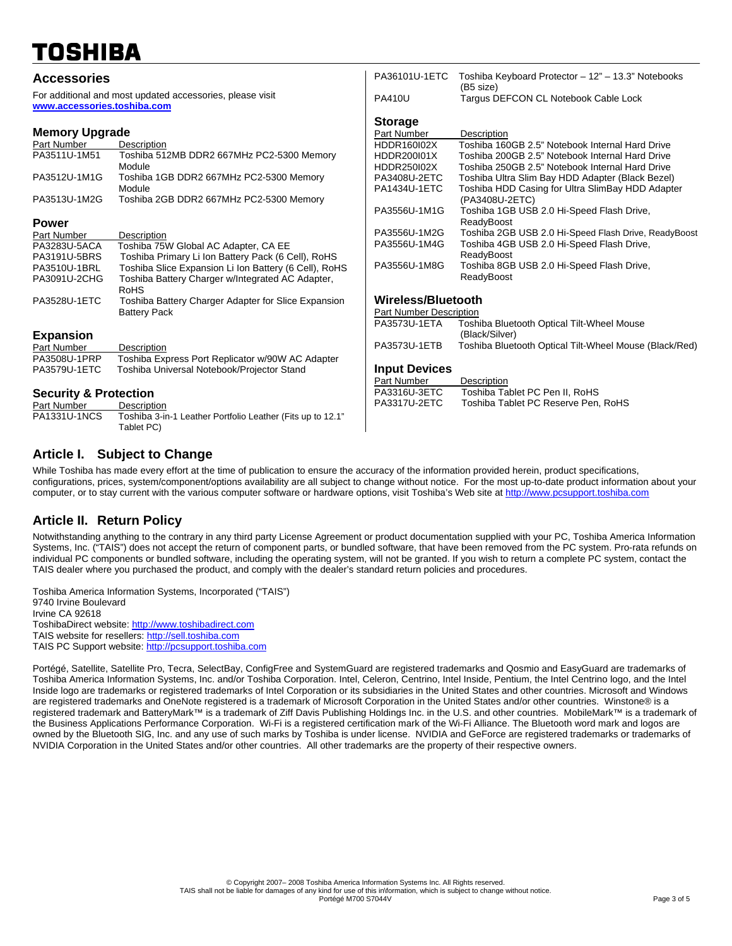| <b>Accessories</b>                                                                       |                                                                 | PA36101U-1ETC                                        | Toshiba Keyboard Protector - 12" - 13.3" Notebooks     |  |
|------------------------------------------------------------------------------------------|-----------------------------------------------------------------|------------------------------------------------------|--------------------------------------------------------|--|
| For additional and most updated accessories, please visit<br>www.accessories.toshiba.com |                                                                 | <b>PA410U</b>                                        | (B5 size)<br>Tarqus DEFCON CL Notebook Cable Lock      |  |
|                                                                                          |                                                                 | <b>Storage</b>                                       |                                                        |  |
| <b>Memory Upgrade</b>                                                                    |                                                                 | Part Number                                          | Description                                            |  |
| Part Number                                                                              | Description                                                     | <b>HDDR160I02X</b>                                   | Toshiba 160GB 2.5" Notebook Internal Hard Drive        |  |
| PA3511U-1M51                                                                             | Toshiba 512MB DDR2 667MHz PC2-5300 Memory                       | <b>HDDR200I01X</b>                                   | Toshiba 200GB 2.5" Notebook Internal Hard Drive        |  |
|                                                                                          | Module                                                          | HDDR250I02X                                          | Toshiba 250GB 2.5" Notebook Internal Hard Drive        |  |
| PA3512U-1M1G                                                                             | Toshiba 1GB DDR2 667MHz PC2-5300 Memory                         | PA3408U-2ETC                                         | Toshiba Ultra Slim Bay HDD Adapter (Black Bezel)       |  |
|                                                                                          | Module                                                          | PA1434U-1ETC                                         | Toshiba HDD Casing for Ultra SlimBay HDD Adapter       |  |
| PA3513U-1M2G                                                                             | Toshiba 2GB DDR2 667MHz PC2-5300 Memory                         |                                                      | (PA3408U-2ETC)                                         |  |
|                                                                                          |                                                                 | PA3556U-1M1G                                         | Toshiba 1GB USB 2.0 Hi-Speed Flash Drive,              |  |
| <b>Power</b>                                                                             |                                                                 |                                                      | ReadyBoost                                             |  |
| Part Number                                                                              | Description                                                     | PA3556U-1M2G                                         | Toshiba 2GB USB 2.0 Hi-Speed Flash Drive, ReadyBoost   |  |
| PA3283U-5ACA                                                                             | Toshiba 75W Global AC Adapter, CA EE                            | PA3556U-1M4G                                         | Toshiba 4GB USB 2.0 Hi-Speed Flash Drive,              |  |
| PA3191U-5BRS                                                                             | Toshiba Primary Li Ion Battery Pack (6 Cell), RoHS              |                                                      | ReadyBoost                                             |  |
| PA3510U-1BRL                                                                             | Toshiba Slice Expansion Li Ion Battery (6 Cell), RoHS           | PA3556U-1M8G                                         | Toshiba 8GB USB 2.0 Hi-Speed Flash Drive,              |  |
| PA3091U-2CHG                                                                             | Toshiba Battery Charger w/Integrated AC Adapter,<br><b>RoHS</b> |                                                      | ReadyBoost                                             |  |
| PA3528U-1ETC                                                                             | Toshiba Battery Charger Adapter for Slice Expansion             | Wireless/Bluetooth<br><b>Part Number Description</b> |                                                        |  |
|                                                                                          | <b>Battery Pack</b>                                             |                                                      |                                                        |  |
|                                                                                          |                                                                 | PA3573U-1ETA                                         | Toshiba Bluetooth Optical Tilt-Wheel Mouse             |  |
| <b>Expansion</b>                                                                         |                                                                 |                                                      | (Black/Silver)                                         |  |
| Part Number                                                                              | Description                                                     | PA3573U-1ETB                                         | Toshiba Bluetooth Optical Tilt-Wheel Mouse (Black/Red) |  |
| PA3508U-1PRP                                                                             | Toshiba Express Port Replicator w/90W AC Adapter                |                                                      |                                                        |  |
| PA3579U-1ETC                                                                             | Toshiba Universal Notebook/Projector Stand                      | <b>Input Devices</b>                                 |                                                        |  |
|                                                                                          |                                                                 | Part Number                                          | Description                                            |  |
| <b>Security &amp; Protection</b>                                                         |                                                                 | PA3316U-3ETC                                         | Toshiba Tablet PC Pen II, RoHS                         |  |
| Part Number                                                                              | Description                                                     | PA3317U-2ETC                                         | Toshiba Tablet PC Reserve Pen, RoHS                    |  |
| PA1331U-1NCS                                                                             | Toshiba 3-in-1 Leather Portfolio Leather (Fits up to 12.1"      |                                                      |                                                        |  |
|                                                                                          | Tablet PC)                                                      |                                                      |                                                        |  |

## **Article I. Subject to Change**

While Toshiba has made every effort at the time of publication to ensure the accuracy of the information provided herein, product specifications, configurations, prices, system/component/options availability are all subject to change without notice. For the most up-to-date product information about your computer, or to stay current with the various computer software or hardware options, visit Toshiba's Web site at [http://www.pcsupport.toshiba.com](http://www.pcsupport.toshiba.com/)

## **Article II. Return Policy**

Notwithstanding anything to the contrary in any third party License Agreement or product documentation supplied with your PC, Toshiba America Information Systems, Inc. ("TAIS") does not accept the return of component parts, or bundled software, that have been removed from the PC system. Pro-rata refunds on individual PC components or bundled software, including the operating system, will not be granted. If you wish to return a complete PC system, contact the TAIS dealer where you purchased the product, and comply with the dealer's standard return policies and procedures.

Toshiba America Information Systems, Incorporated ("TAIS") 9740 Irvine Boulevard Irvine CA 92618 ToshibaDirect website: [http://www.toshibadirect.com](http://www.toshibadirect.com/)  TAIS website for resellers: [http://sell.toshiba.com](http://sell.toshiba.com/) TAIS PC Support website: [http://pcsupport.toshiba.com](http://pcsupport.toshiba.com/)

Portégé, Satellite, Satellite Pro, Tecra, SelectBay, ConfigFree and SystemGuard are registered trademarks and Qosmio and EasyGuard are trademarks of Toshiba America Information Systems, Inc. and/or Toshiba Corporation. Intel, Celeron, Centrino, Intel Inside, Pentium, the Intel Centrino logo, and the Intel Inside logo are trademarks or registered trademarks of Intel Corporation or its subsidiaries in the United States and other countries. Microsoft and Windows are registered trademarks and OneNote registered is a trademark of Microsoft Corporation in the United States and/or other countries. Winstone® is a registered trademark and BatteryMark™ is a trademark of Ziff Davis Publishing Holdings Inc. in the U.S. and other countries. MobileMark™ is a trademark of the Business Applications Performance Corporation. Wi-Fi is a registered certification mark of the Wi-Fi Alliance. The Bluetooth word mark and logos are owned by the Bluetooth SIG, Inc. and any use of such marks by Toshiba is under license. NVIDIA and GeForce are registered trademarks or trademarks of NVIDIA Corporation in the United States and/or other countries. All other trademarks are the property of their respective owners.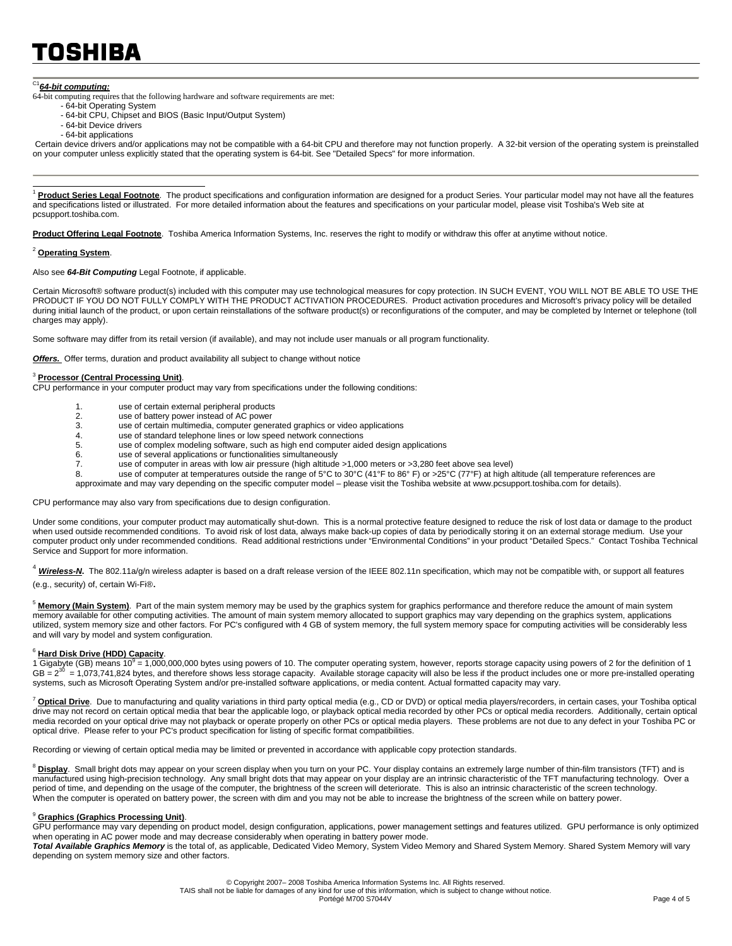### <span id="page-3-1"></span><sup>C1</sup>64-bit computing:

64-bit computing requires that the following hardware and software requirements are met:

- 64-bit Operating System
- 64-bit CPU, Chipset and BIOS (Basic Input/Output System)
- 64-bit Device drivers - 64-bit applications

 Certain device drivers and/or applications may not be compatible with a 64-bit CPU and therefore may not function properly. A 32-bit version of the operating system is preinstalled on your computer unless explicitly stated that the operating system is 64-bit. See "Detailed Specs" for more information.

<span id="page-3-2"></span><span id="page-3-0"></span>Product Series Legal Footnote. The product specifications and configuration information are designed for a product Series. Your particular model may not have all the features and specifications listed or illustrated. For more detailed information about the features and specifications on your particular model, please visit Toshiba's Web site at pcsupport.toshiba.com.

**Product Offering Legal Footnote**. Toshiba America Information Systems, Inc. reserves the right to modify or withdraw this offer at anytime without notice.

#### <sup>2</sup> **Operating System**.

 $\overline{a}$ 

Also see *64-Bit Computing* Legal Footnote, if applicable.

Certain Microsoft® software product(s) included with this computer may use technological measures for copy protection. IN SUCH EVENT, YOU WILL NOT BE ABLE TO USE THE PRODUCT IF YOU DO NOT FULLY COMPLY WITH THE PRODUCT ACTIVATION PROCEDURES. Product activation procedures and Microsoft's privacy policy will be detailed during initial launch of the product, or upon certain reinstallations of the software product(s) or reconfigurations of the computer, and may be completed by Internet or telephone (toll charges may apply).

Some software may differ from its retail version (if available), and may not include user manuals or all program functionality.

**Offers.** Offer terms, duration and product availability all subject to change without notice

#### <sup>3</sup> **Processor (Central Processing Unit)**.

CPU performance in your computer product may vary from specifications under the following conditions:

- 1. use of certain external peripheral products<br>2. use of battery power instead of AC power
- 2. use of battery power instead of AC power<br>3. use of certain multimedia, computer gener
- 3. use of certain multimedia, computer generated graphics or video applications
- 4. use of standard telephone lines or low speed network connections<br>5. use of complex modeling software, such as high end computer aid
- 5. use of complex modeling software, such as high end computer aided design applications
- use of several applications or functionalities simultaneously
- 7. use of computer in areas with low air pressure (high altitude >1,000 meters or >3,280 feet above sea level)<br>8. use of computer at temperatures outside the range of 5°C to 30°C (41°F to 86° F) or >25°C (77°F) at bigh a
- 8. use of computer at temperatures outside the range of 5°C to 30°C (41°F to 86° F) or >25°C (77°F) at high altitude (all temperature references are
- approximate and may vary depending on the specific computer model please visit the Toshiba website at www.pcsupport.toshiba.com for details).

#### CPU performance may also vary from specifications due to design configuration.

Under some conditions, your computer product may automatically shut-down. This is a normal protective feature designed to reduce the risk of lost data or damage to the product when used outside recommended conditions. To avoid risk of lost data, always make back-up copies of data by periodically storing it on an external storage medium. Use your computer product only under recommended conditions. Read additional restrictions under "Environmental Conditions" in your product "Detailed Specs." Contact Toshiba Technical Service and Support for more information.

<sup>4</sup> Wireless-N. The 802.11a/g/n wireless adapter is based on a draft release version of the IEEE 802.11n specification, which may not be compatible with, or support all features (e.g., security) of, certain Wi-Fi®.

<sup>5</sup> Memory (Main System). Part of the main system memory may be used by the graphics system for graphics performance and therefore reduce the amount of main system memory available for other computing activities. The amount of main system memory allocated to support graphics may vary depending on the graphics system, applications utilized, system memory size and other factors. For PC's configured with 4 GB of system memory, the full system memory space for computing activities will be considerably less and will vary by model and system configuration.

#### <sup>6</sup> **Hard Disk Drive (HDD) Capacity**.

1 Gigabyte (GB) means 10<sup>9</sup> = 1,000,000,000 bytes using powers of 10. The computer operating system, however, reports storage capacity using powers of 2 for the definition of 1 GB =  $2^{30}$  = 1,073,741,824 bytes, and therefore shows less storage capacity. Available storage capacity will also be less if the product includes one or more pre-installed operating systems, such as Microsoft Operating System and/or pre-installed software applications, or media content. Actual formatted capacity may vary.

<sup>7</sup> Optical Drive. Due to manufacturing and quality variations in third party optical media (e.g., CD or DVD) or optical media players/recorders, in certain cases, your Toshiba optical drive may not record on certain optical media that bear the applicable logo, or playback optical media recorded by other PCs or optical media recorders. Additionally, certain optical media recorded on your optical drive may not playback or operate properly on other PCs or optical media players. These problems are not due to any defect in your Toshiba PC or optical drive. Please refer to your PC's product specification for listing of specific format compatibilities.

Recording or viewing of certain optical media may be limited or prevented in accordance with applicable copy protection standards.

<sup>8</sup> Display. Small bright dots may appear on your screen display when you turn on your PC. Your display contains an extremely large number of thin-film transistors (TFT) and is manufactured using high-precision technology. Any small bright dots that may appear on your display are an intrinsic characteristic of the TFT manufacturing technology. Over a period of time, and depending on the usage of the computer, the brightness of the screen will deteriorate. This is also an intrinsic characteristic of the screen technology. When the computer is operated on battery power, the screen with dim and you may not be able to increase the brightness of the screen while on battery power.

#### <sup>9</sup> **Graphics (Graphics Processing Unit)**.

GPU performance may vary depending on product model, design configuration, applications, power management settings and features utilized. GPU performance is only optimized when operating in AC power mode and may decrease considerably when operating in battery power mode.

*Total Available Graphics Memory* is the total of, as applicable, Dedicated Video Memory, System Video Memory and Shared System Memory. Shared System Memory will vary depending on system memory size and other factors.